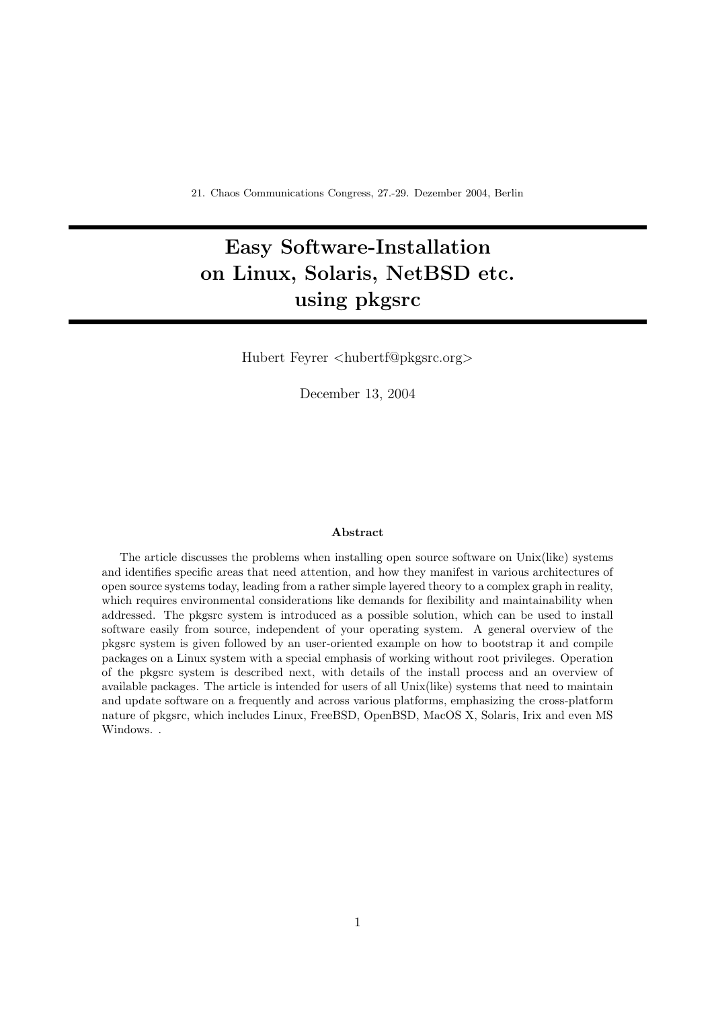# Easy Software-Installation on Linux, Solaris, NetBSD etc. using pkgsrc

Hubert Feyrer <hubertf@pkgsrc.org>

December 13, 2004

#### Abstract

The article discusses the problems when installing open source software on Unix(like) systems and identifies specific areas that need attention, and how they manifest in various architectures of open source systems today, leading from a rather simple layered theory to a complex graph in reality, which requires environmental considerations like demands for flexibility and maintainability when addressed. The pkgsrc system is introduced as a possible solution, which can be used to install software easily from source, independent of your operating system. A general overview of the pkgsrc system is given followed by an user-oriented example on how to bootstrap it and compile packages on a Linux system with a special emphasis of working without root privileges. Operation of the pkgsrc system is described next, with details of the install process and an overview of available packages. The article is intended for users of all Unix(like) systems that need to maintain and update software on a frequently and across various platforms, emphasizing the cross-platform nature of pkgsrc, which includes Linux, FreeBSD, OpenBSD, MacOS X, Solaris, Irix and even MS Windows. .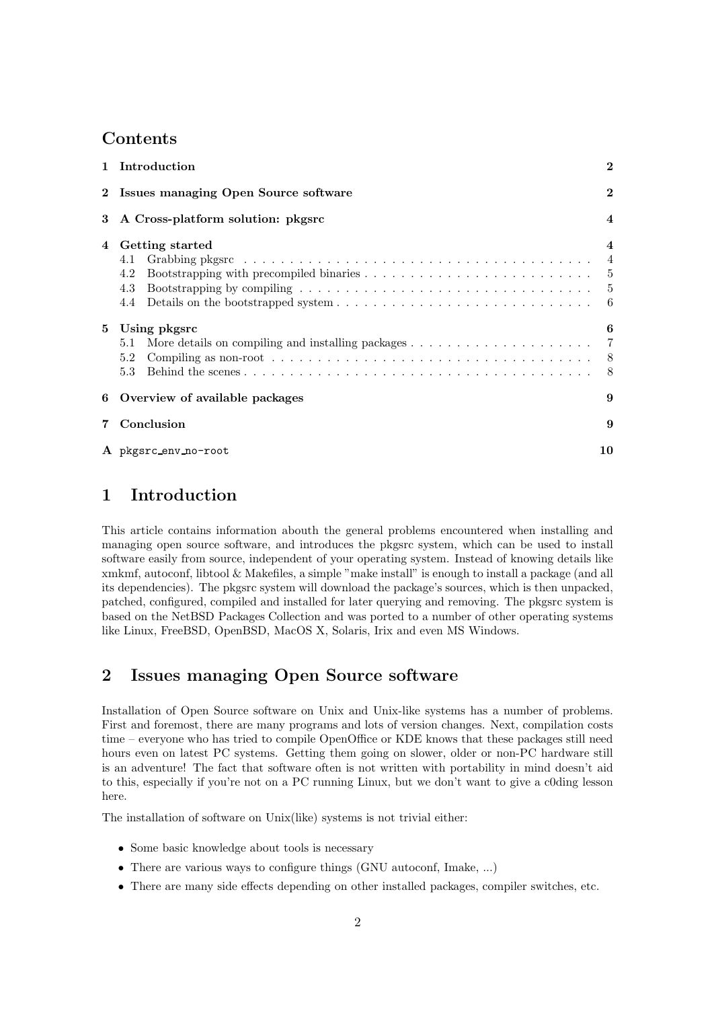### Contents

|             | 1 Introduction                                                                                                                                          | $\bf{2}$                |  |  |  |
|-------------|---------------------------------------------------------------------------------------------------------------------------------------------------------|-------------------------|--|--|--|
|             | $\mathbf{2}$<br>2 Issues managing Open Source software                                                                                                  |                         |  |  |  |
|             | 3 A Cross-platform solution: pkgsrc                                                                                                                     | $\overline{\mathbf{4}}$ |  |  |  |
| 4           | Getting started<br>4.1<br>4.2<br>4.3                                                                                                                    | $\overline{\mathbf{4}}$ |  |  |  |
| $5^{\circ}$ | Using pkgsrc<br>5.1<br>Compiling as non-root $\ldots \ldots \ldots \ldots \ldots \ldots \ldots \ldots \ldots \ldots \ldots \ldots \ldots$<br>5.2<br>5.3 | 6                       |  |  |  |
|             | 6 Overview of available packages                                                                                                                        | 9                       |  |  |  |
| 7           | Conclusion                                                                                                                                              | 9                       |  |  |  |
|             | A pkgsrc_env_no-root                                                                                                                                    | 10                      |  |  |  |

## 1 Introduction

This article contains information abouth the general problems encountered when installing and managing open source software, and introduces the pkgsrc system, which can be used to install software easily from source, independent of your operating system. Instead of knowing details like xmkmf, autoconf, libtool & Makefiles, a simple "make install" is enough to install a package (and all its dependencies). The pkgsrc system will download the package's sources, which is then unpacked, patched, configured, compiled and installed for later querying and removing. The pkgsrc system is based on the NetBSD Packages Collection and was ported to a number of other operating systems like Linux, FreeBSD, OpenBSD, MacOS X, Solaris, Irix and even MS Windows.

## 2 Issues managing Open Source software

Installation of Open Source software on Unix and Unix-like systems has a number of problems. First and foremost, there are many programs and lots of version changes. Next, compilation costs time – everyone who has tried to compile OpenOffice or KDE knows that these packages still need hours even on latest PC systems. Getting them going on slower, older or non-PC hardware still is an adventure! The fact that software often is not written with portability in mind doesn't aid to this, especially if you're not on a PC running Linux, but we don't want to give a c0ding lesson here.

The installation of software on Unix(like) systems is not trivial either:

- Some basic knowledge about tools is necessary
- There are various ways to configure things (GNU autoconf, Imake, ...)
- There are many side effects depending on other installed packages, compiler switches, etc.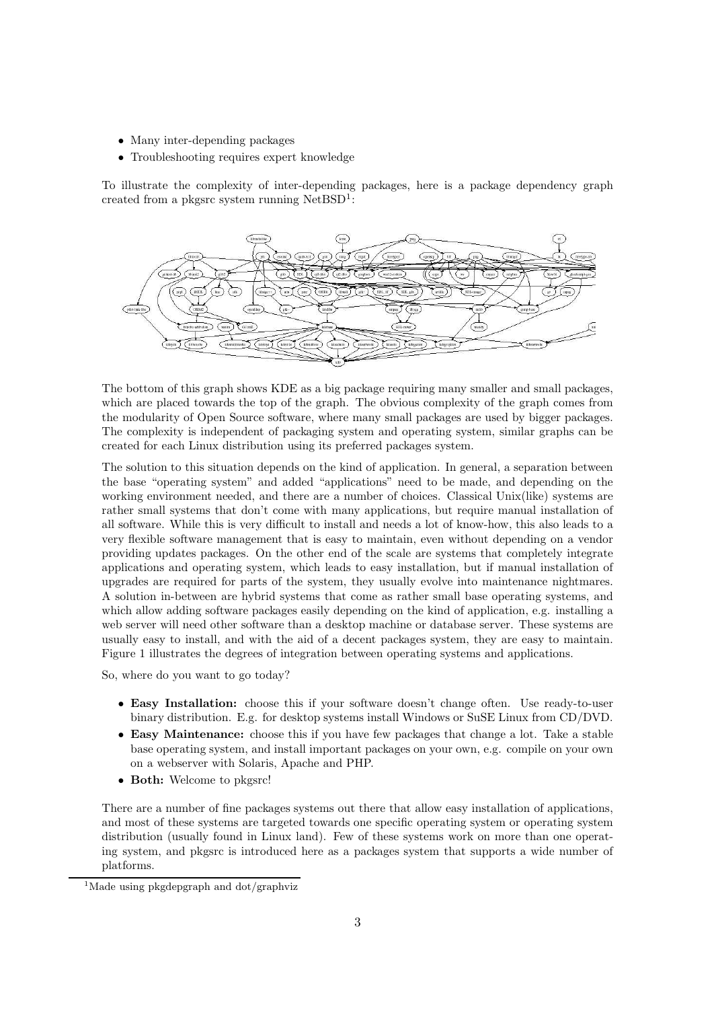- Many inter-depending packages
- Troubleshooting requires expert knowledge

To illustrate the complexity of inter-depending packages, here is a package dependency graph created from a pkgsrc system running NetBSD<sup>1</sup>:



The bottom of this graph shows KDE as a big package requiring many smaller and small packages, which are placed towards the top of the graph. The obvious complexity of the graph comes from the modularity of Open Source software, where many small packages are used by bigger packages. The complexity is independent of packaging system and operating system, similar graphs can be created for each Linux distribution using its preferred packages system.

The solution to this situation depends on the kind of application. In general, a separation between the base "operating system" and added "applications" need to be made, and depending on the working environment needed, and there are a number of choices. Classical Unix(like) systems are rather small systems that don't come with many applications, but require manual installation of all software. While this is very difficult to install and needs a lot of know-how, this also leads to a very flexible software management that is easy to maintain, even without depending on a vendor providing updates packages. On the other end of the scale are systems that completely integrate applications and operating system, which leads to easy installation, but if manual installation of upgrades are required for parts of the system, they usually evolve into maintenance nightmares. A solution in-between are hybrid systems that come as rather small base operating systems, and which allow adding software packages easily depending on the kind of application, e.g. installing a web server will need other software than a desktop machine or database server. These systems are usually easy to install, and with the aid of a decent packages system, they are easy to maintain. Figure 1 illustrates the degrees of integration between operating systems and applications.

So, where do you want to go today?

- Easy Installation: choose this if your software doesn't change often. Use ready-to-user binary distribution. E.g. for desktop systems install Windows or SuSE Linux from CD/DVD.
- Easy Maintenance: choose this if you have few packages that change a lot. Take a stable base operating system, and install important packages on your own, e.g. compile on your own on a webserver with Solaris, Apache and PHP.
- Both: Welcome to pkgsrc!

There are a number of fine packages systems out there that allow easy installation of applications, and most of these systems are targeted towards one specific operating system or operating system distribution (usually found in Linux land). Few of these systems work on more than one operating system, and pkgsrc is introduced here as a packages system that supports a wide number of platforms.

<sup>&</sup>lt;sup>1</sup>Made using pkgdepgraph and dot/graphviz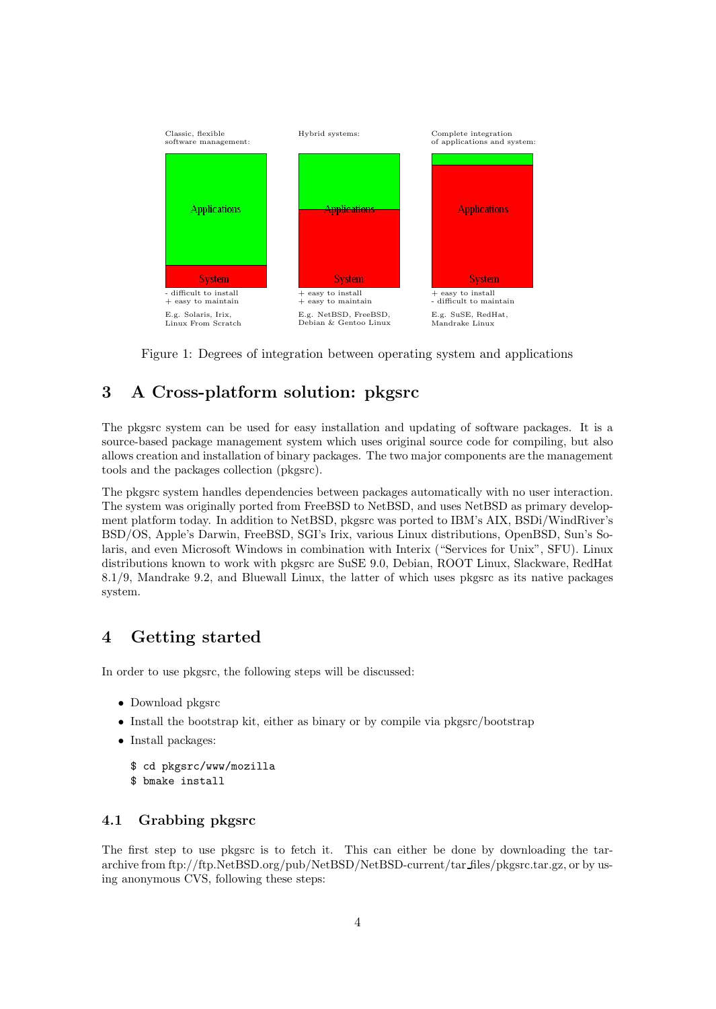

Figure 1: Degrees of integration between operating system and applications

# 3 A Cross-platform solution: pkgsrc

The pkgsrc system can be used for easy installation and updating of software packages. It is a source-based package management system which uses original source code for compiling, but also allows creation and installation of binary packages. The two major components are the management tools and the packages collection (pkgsrc).

The pkgsrc system handles dependencies between packages automatically with no user interaction. The system was originally ported from FreeBSD to NetBSD, and uses NetBSD as primary development platform today. In addition to NetBSD, pkgsrc was ported to IBM's AIX, BSDi/WindRiver's BSD/OS, Apple's Darwin, FreeBSD, SGI's Irix, various Linux distributions, OpenBSD, Sun's Solaris, and even Microsoft Windows in combination with Interix ("Services for Unix", SFU). Linux distributions known to work with pkgsrc are SuSE 9.0, Debian, ROOT Linux, Slackware, RedHat 8.1/9, Mandrake 9.2, and Bluewall Linux, the latter of which uses pkgsrc as its native packages system.

### 4 Getting started

In order to use pkgsrc, the following steps will be discussed:

- Download pkgsrc
- Install the bootstrap kit, either as binary or by compile via pkgsrc/bootstrap
- Install packages:
	- \$ cd pkgsrc/www/mozilla
	- \$ bmake install

#### 4.1 Grabbing pkgsrc

The first step to use pkgsrc is to fetch it. This can either be done by downloading the tararchive from ftp://ftp.NetBSD.org/pub/NetBSD/NetBSD-current/tar files/pkgsrc.tar.gz, or by using anonymous CVS, following these steps: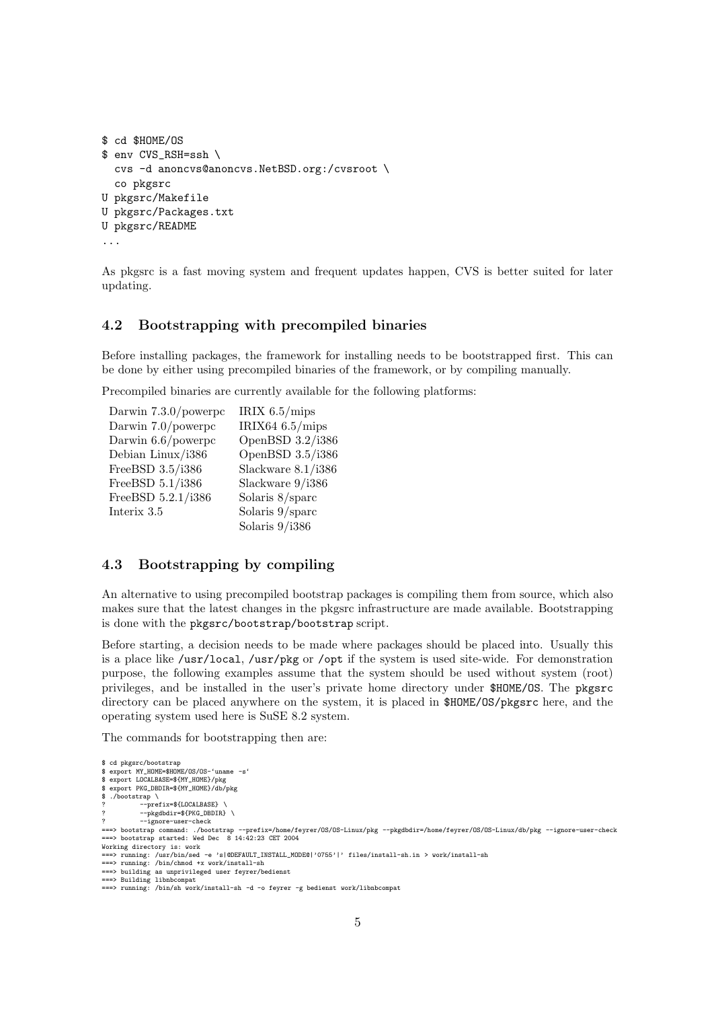```
$ cd $HOME/OS
$ env CVS_RSH=ssh \
  cvs -d anoncvs@anoncvs.NetBSD.org:/cvsroot \
  co pkgsrc
U pkgsrc/Makefile
U pkgsrc/Packages.txt
U pkgsrc/README
...
```
As pkgsrc is a fast moving system and frequent updates happen, CVS is better suited for later updating.

#### 4.2 Bootstrapping with precompiled binaries

Before installing packages, the framework for installing needs to be bootstrapped first. This can be done by either using precompiled binaries of the framework, or by compiling manually.

Precompiled binaries are currently available for the following platforms:

| Darwin $7.3.0$ /powerpc | IRIX $6.5/mips$       |
|-------------------------|-----------------------|
| Darwin 7.0/powerpc      | IRIX64 $6.5/mips$     |
| Darwin $6.6$ /powerpc   | OpenBSD 3.2/i386      |
| Debian Linux/i386       | OpenBSD 3.5/i386      |
| FreeBSD 3.5/i386        | Slackware $8.1/$ i386 |
| FreeBSD 5.1/i386        | Slackware 9/i386      |
| FreeBSD 5.2.1/i386      | Solaris $8$ /sparc    |
| Interix 3.5             | Solaris 9/sparc       |
|                         | Solaris $9/1386$      |
|                         |                       |

#### 4.3 Bootstrapping by compiling

An alternative to using precompiled bootstrap packages is compiling them from source, which also makes sure that the latest changes in the pkgsrc infrastructure are made available. Bootstrapping is done with the pkgsrc/bootstrap/bootstrap script.

Before starting, a decision needs to be made where packages should be placed into. Usually this is a place like /usr/local, /usr/pkg or /opt if the system is used site-wide. For demonstration purpose, the following examples assume that the system should be used without system (root) privileges, and be installed in the user's private home directory under \$HOME/OS. The pkgsrc directory can be placed anywhere on the system, it is placed in \$HOME/OS/pkgsrc here, and the operating system used here is SuSE 8.2 system.

The commands for bootstrapping then are:

```
$ cd pkgsrc/bootstrap
$ export MY_HOME=$HOME/OS/OS-'uname -s'
$ export LOCALBASE=${MY_HOME}/pkg
$ export PKG_DBDIR=${MY_HOME}/db/pkg
$ ./bootstrap \
? --prefix=${LOCALBASE} \
            --pkgdbdir=${PKG_DBDIR} \
              --ignore-user-check
===> bootstrap command: ./bootstrap --prefix=/home/feyrer/OS/OS-Linux/pkg --pkgdbdir=/home/feyrer/OS/OS-Linux/db/pkg --ignore-user-check
===> bootstrap started: Wed Dec 8 14:42:23 CET 2004
Working directory is: work<br>===> running: /usr/bin/sed -e 's|@DEFAULT_INSTALL_MODE@|'0755'|' files/install-sh.in > work/install-sh<br>===> running: /bin/chmod +x work/install-sh
===> building as unprivileged user feyrer/bedienst
===> Building libnbcompat
===> running: /bin/sh work/install-sh -d -o feyrer -g bedienst work/libnbcompat
```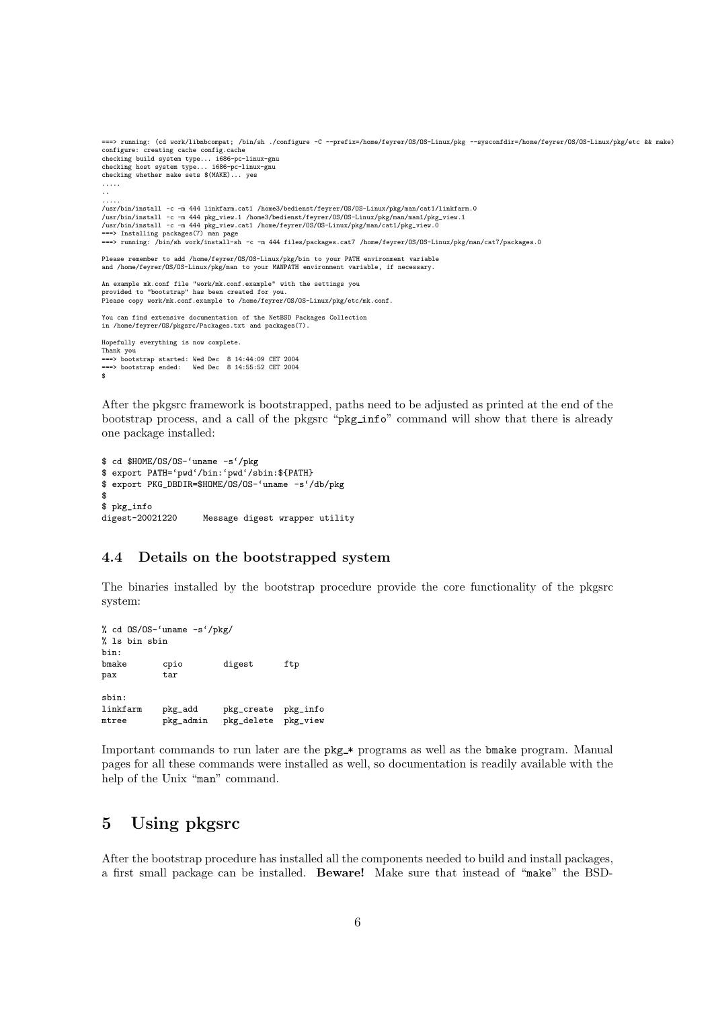```
configure: creating cache config.cache<br>checking build system type... i686-pc-linux-gnu<br>checking host system type... i686-pc-linux-gnu<br>checking whether make sets $(MAKE)... yes<br>.....
 ..
 .....
/usr/bin/install -c -m 444 linkfarm.cat1 /home3/bedienst/feyrer/OS/OS-Linux/pkg/man/cat1/linkfarm.0
 /usr/bin/install -c -m 444 pkg_view.1 /home3/bedienst/feyrer/OS/OS-Linux/pkg/man/man1/pkg_view.1<br>/usr/bin/install -c -m 444 pkg_view.cat1 /home/feyrer/OS/OS-Linux/pkg/man/cat1/pkg_view.0<br>===> Installing packages(7) man pag
 Please remember to add /home/feyrer/OS/OS-Linux/pkg/bin to your PATH environment variable
and /home/feyrer/OS/OS-Linux/pkg/man to your MANPATH environment variable, if necessary.
 An example mk.conf file "work/mk.conf.example" with the settings you<br>provided to "bootstrap" has been created for you.<br>Please copy work/mk.conf.example to /home/feyrer/OS/OS-Linux/pkg/etc/mk.conf.
You can find extensive documentation of the NetBSD Packages Collection
in /home/feyrer/OS/pkgsrc/Packages.txt and packages(7).
Hopefully everything is now complete.
Thank you
 ===> bootstrap started: Wed Dec 8 14:44:09 CET 2004
===> bootstrap ended: Wed Dec 8 14:55:52 CET 2004
$
```
===> running: (cd work/libnbcompat; /bin/sh ./configure -C --prefix=/home/feyrer/OS/OS-Linux/pkg --sysconfdir=/home/feyrer/OS/OS-Linux/pkg/etc && make)

After the pkgsrc framework is bootstrapped, paths need to be adjusted as printed at the end of the bootstrap process, and a call of the pkgsrc "pkg info" command will show that there is already one package installed:

```
$ cd $HOME/OS/OS-'uname -s'/pkg
$ export PATH='pwd'/bin:'pwd'/sbin:${PATH}
$ export PKG_DBDIR=$HOME/OS/OS-'uname -s'/db/pkg
$
$ pkg_info
digest-20021220 Message digest wrapper utility
```
#### 4.4 Details on the bootstrapped system

The binaries installed by the bootstrap procedure provide the core functionality of the pkgsrc system:

```
% cd OS/OS-'uname -s'/pkg/
% ls bin sbin
bin:
bmake cpio digest ftp
pax tar
sbin:<br>linkfarm
            pkg_add pkg_create pkg_info<br>pkg_admin pkg_delete pkg_view
mtree pkg_admin pkg_delete pkg_view
```
Important commands to run later are the pkg\_\* programs as well as the bmake program. Manual pages for all these commands were installed as well, so documentation is readily available with the help of the Unix "man" command.

### 5 Using pkgsrc

After the bootstrap procedure has installed all the components needed to build and install packages, a first small package can be installed. Beware! Make sure that instead of "make" the BSD-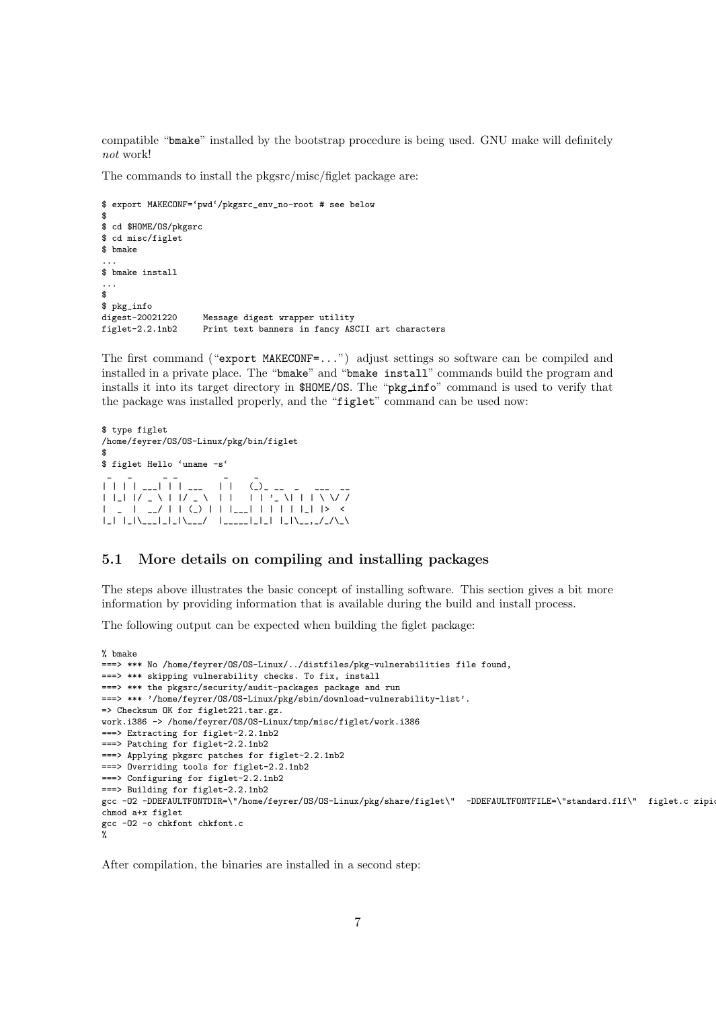compatible "bmake" installed by the bootstrap procedure is being used. GNU make will definitely not work!

The commands to install the pkgsrc/misc/figlet package are:

```
$ export MAKECONF='pwd'/pkgsrc_env_no-root # see below
$
$ cd $HOME/OS/pkgsrc
$ cd misc/figlet
$ bmake
...
$ bmake install
...
\ddot{\bullet}$ pkg_info
digest-20021220 Message digest wrapper utility<br>figlet-2.2.1nb2 Print text banners in fancy AS
                        Print text banners in fancy ASCII art characters
```
The first command ("export MAKECONF=...") adjust settings so software can be compiled and installed in a private place. The "bmake" and "bmake install" commands build the program and installs it into its target directory in \$HOME/OS. The "pkg info" command is used to verify that the package was installed properly, and the "figlet" command can be used now:

```
$ type figlet
/home/feyrer/OS/OS-Linux/pkg/bin/figlet
$
$ figlet Hello 'uname -s'
 _ _ _ _ _ _
| | | | ___| | | ___ | | (_)_ __ _ ___ __
| |_| |/ _ \ | |/ _ \ | | | | '_ \| | | \ \/ /
| _ | __/ | | (_) | | |___| | | | | |_| |> <
|_| |_|\___|_|_|\___/ |_____|_|_| |_|\__,_/_/\_\
```
#### 5.1 More details on compiling and installing packages

The steps above illustrates the basic concept of installing software. This section gives a bit more information by providing information that is available during the build and install process.

The following output can be expected when building the figlet package:

```
% bmake
===> *** No /home/feyrer/OS/OS-Linux/../distfiles/pkg-vulnerabilities file found,
===> *** skipping vulnerability checks. To fix, install
===> *** the pkgsrc/security/audit-packages package and run
===> *** '/home/feyrer/OS/OS-Linux/pkg/sbin/download-vulnerability-list'.
=> Checksum OK for figlet221.tar.gz.
work.i386 -> /home/feyrer/OS/OS-Linux/tmp/misc/figlet/work.i386
===> Extracting for figlet-2.2.1nb2
===> Patching for figlet-2.2.1nb2
===> Applying pkgsrc patches for figlet-2.2.1nb2
===> Overriding tools for figlet-2.2.1nb2
===> Configuring for figlet-2.2.1nb2
===> Building for figlet-2.2.1nb2
gcc -O2 -DDEFAULTFONTDIR=\"/home/feyrer/OS/OS-Linux/pkg/share/figlet\" -DDEFAULTFONTFILE=\"standard.flf\" figlet.c zipi
chmod a+x figlet
gcc -O2 -o chkfont chkfont.c
%
```
After compilation, the binaries are installed in a second step: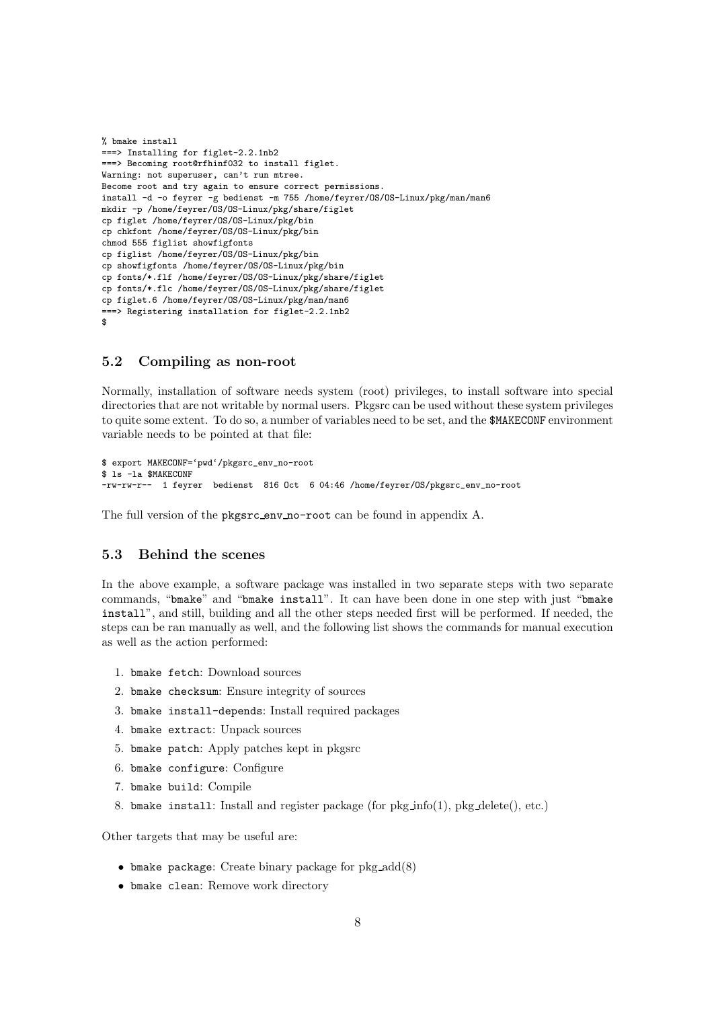```
% bmake install
===> Installing for figlet-2.2.1nb2
===> Becoming root@rfhinf032 to install figlet.
Warning: not superuser, can't run mtree.
Become root and try again to ensure correct permissions.
install -d -o feyrer -g bedienst -m 755 /home/feyrer/OS/OS-Linux/pkg/man/man6
mkdir -p /home/feyrer/OS/OS-Linux/pkg/share/figlet
cp figlet /home/feyrer/OS/OS-Linux/pkg/bin
cp chkfont /home/feyrer/OS/OS-Linux/pkg/bin
chmod 555 figlist showfigfonts
cp figlist /home/feyrer/OS/OS-Linux/pkg/bin
cp showfigfonts /home/feyrer/OS/OS-Linux/pkg/bin
cp fonts/*.flf /home/feyrer/OS/OS-Linux/pkg/share/figlet
cp fonts/*.flc /home/feyrer/OS/OS-Linux/pkg/share/figlet
cp figlet.6 /home/feyrer/OS/OS-Linux/pkg/man/man6
===> Registering installation for figlet-2.2.1nb2
$
```
#### 5.2 Compiling as non-root

Normally, installation of software needs system (root) privileges, to install software into special directories that are not writable by normal users. Pkgsrc can be used without these system privileges to quite some extent. To do so, a number of variables need to be set, and the \$MAKECONF environment variable needs to be pointed at that file:

```
$ export MAKECONF='pwd'/pkgsrc_env_no-root
$ ls -la $MAKECONF
-rw-rw-r-- 1 feyrer bedienst 816 Oct 6 04:46 /home/feyrer/OS/pkgsrc_env_no-root
```
The full version of the pkgsrc env no-root can be found in appendix A.

#### 5.3 Behind the scenes

In the above example, a software package was installed in two separate steps with two separate commands, "bmake" and "bmake install". It can have been done in one step with just "bmake install", and still, building and all the other steps needed first will be performed. If needed, the steps can be ran manually as well, and the following list shows the commands for manual execution as well as the action performed:

- 1. bmake fetch: Download sources
- 2. bmake checksum: Ensure integrity of sources
- 3. bmake install-depends: Install required packages
- 4. bmake extract: Unpack sources
- 5. bmake patch: Apply patches kept in pkgsrc
- 6. bmake configure: Configure
- 7. bmake build: Compile
- 8. bmake install: Install and register package (for  $pkg_info(1)$ ,  $pkg delete()$ , etc.)

Other targets that may be useful are:

- $\bullet$  bmake package: Create binary package for pkg\_add(8)
- bmake clean: Remove work directory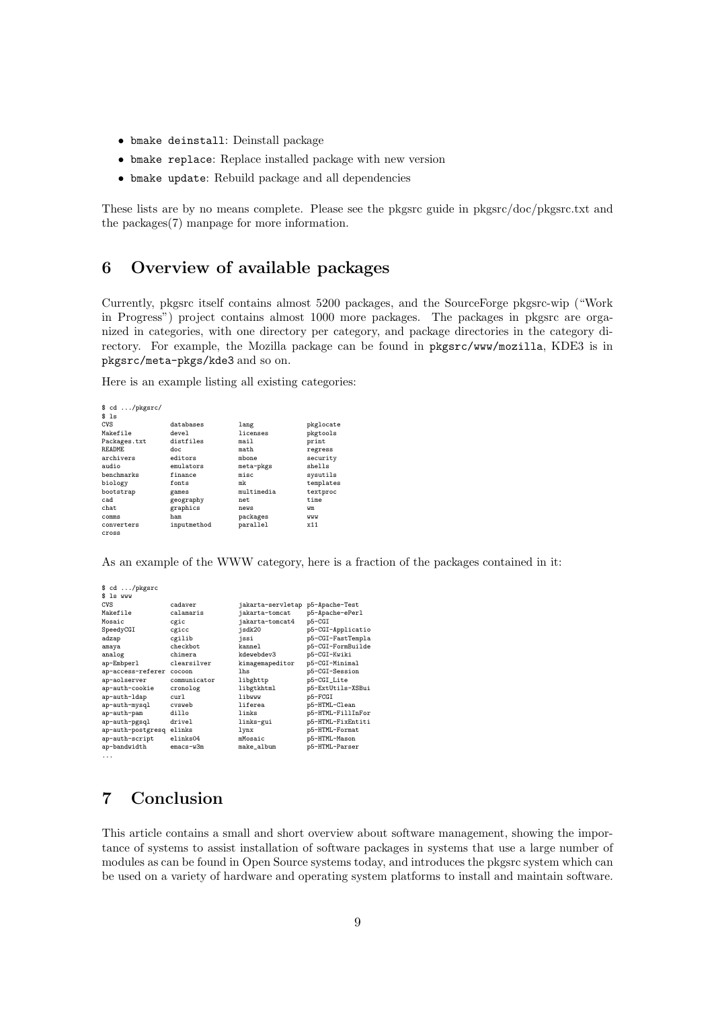- bmake deinstall: Deinstall package
- bmake replace: Replace installed package with new version
- bmake update: Rebuild package and all dependencies

These lists are by no means complete. Please see the pkgsrc guide in pkgsrc/doc/pkgsrc.txt and the packages(7) manpage for more information.

# 6 Overview of available packages

Currently, pkgsrc itself contains almost 5200 packages, and the SourceForge pkgsrc-wip ("Work in Progress") project contains almost 1000 more packages. The packages in pkgsrc are organized in categories, with one directory per category, and package directories in the category directory. For example, the Mozilla package can be found in pkgsrc/www/mozilla, KDE3 is in pkgsrc/meta-pkgs/kde3 and so on.

Here is an example listing all existing categories:

| $\text{G}$ cd /pkgsrc/ |             |            |           |
|------------------------|-------------|------------|-----------|
| \$1s                   |             |            |           |
| CVS                    | databases   | lang       | pkglocate |
| Makefile               | devel       | licenses   | pkgtools  |
| Packages.txt           | distfiles   | mail       | print     |
| <b>README</b>          | doc.        | math       | regress   |
| archivers              | editors     | mbone      | security  |
| audio                  | emulators   | meta-pkgs  | shells    |
| benchmarks             | finance     | misc       | sysutils  |
| biology                | fonts       | mk         | templates |
| bootstrap              | games       | multimedia | textproc  |
| cad                    | geography   | net.       | time      |
| chat.                  | graphics    | news       | wm        |
| comms                  | ham         | packages   | www       |
| converters             | inputmethod | parallel   | x11       |
| cross                  |             |            |           |

As an example of the WWW category, here is a fraction of the packages contained in it:

| \$ cd /pkgsrc<br>\$ 1s www |              |                   |                   |
|----------------------------|--------------|-------------------|-------------------|
| CVS                        | cadaver      | jakarta-servletap | p5-Apache-Test    |
| Makefile                   | calamaris    | jakarta-tomcat    | p5-Apache-ePerl   |
| Mosaic                     | cgic         | jakarta-tomcat4   | p5-CGI            |
| SpeedyCGI                  | cgicc        | jsdk20            | p5-CGI-Applicatio |
| adzap                      | cgilib       | jssi              | p5-CGI-FastTempla |
| amaya                      | checkbot.    | kannel            | p5-CGI-FormBuilde |
| analog                     | chimera      | kdewebdev3        | p5-CGI-Kwiki      |
| ap-Embperl                 | clearsilver  | kimagemapeditor   | p5-CGI-Minimal    |
| ap-access-referer          | cocoon       | 1 <sub>hs</sub>   | p5-CGI-Session    |
| ap-aolserver               | communicator | libghttp          | p5-CGI_Lite       |
| ap-auth-cookie             | cronolog     | libgtkhtml        | p5-ExtUtils-XSBui |
| ap-auth-ldap               | cur1         | libwww            | p5-FCGI           |
| ap-auth-mysql              | cvsweb       | liferea           | p5-HTML-Clean     |
| ap-auth-pam                | dillo        | links             | p5-HTML-FillInFor |
| ap-auth-pgsql              | drivel       | links-gui         | p5-HTML-FixEntiti |
| ap-auth-postgresq          | elinks       | lynx              | p5-HTML-Format    |
| ap-auth-script             | elinks04     | mMosaic           | p5-HTML-Mason     |
| ap-bandwidth               | emacs-w3m    | make_album        | p5-HTML-Parser    |
| .                          |              |                   |                   |

### 7 Conclusion

This article contains a small and short overview about software management, showing the importance of systems to assist installation of software packages in systems that use a large number of modules as can be found in Open Source systems today, and introduces the pkgsrc system which can be used on a variety of hardware and operating system platforms to install and maintain software.